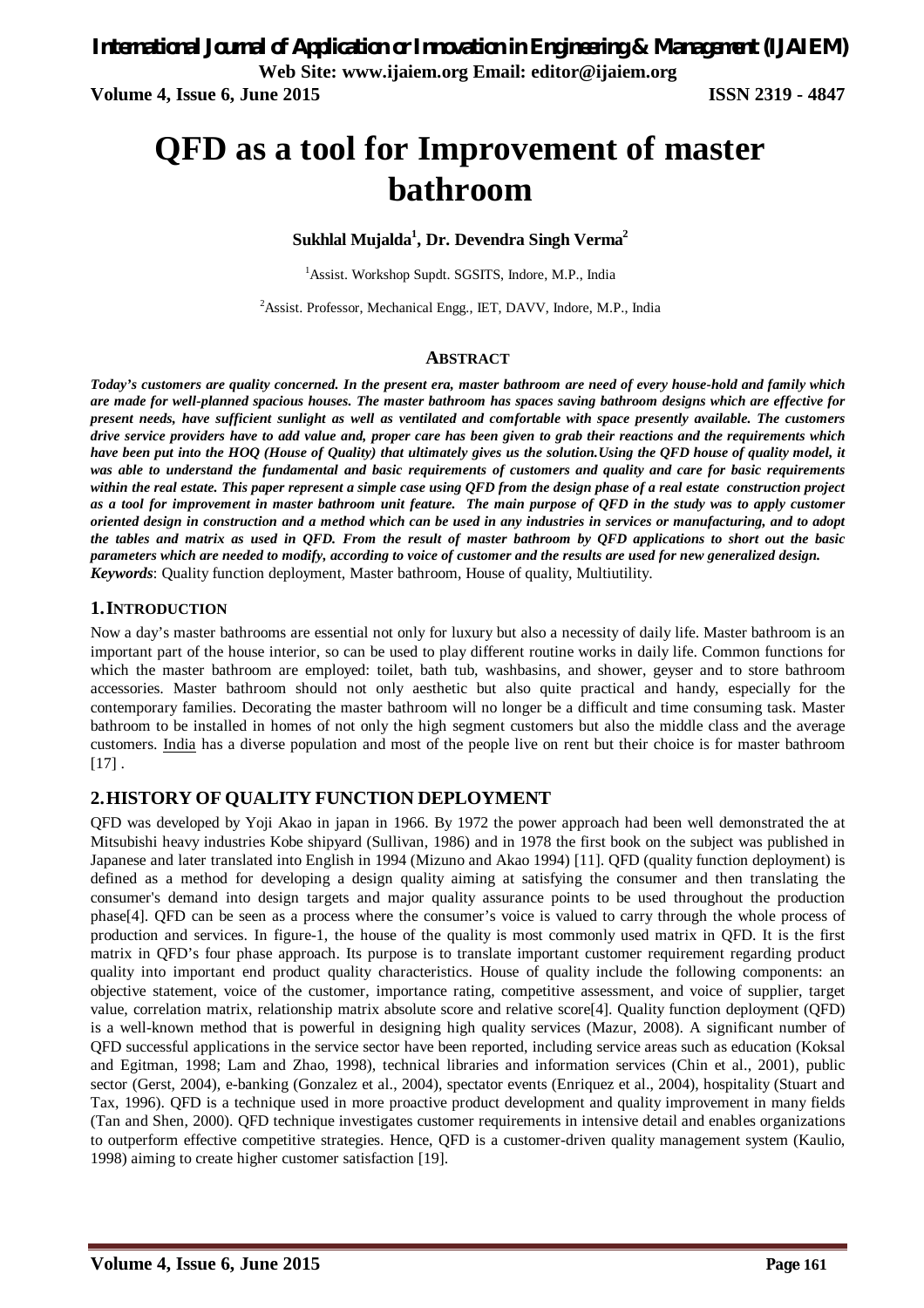# **QFD as a tool for Improvement of master bathroom**

#### **Sukhlal Mujalda<sup>1</sup> , Dr. Devendra Singh Verma<sup>2</sup>**

<sup>1</sup>Assist. Workshop Supdt. SGSITS, Indore, M.P., India

<sup>2</sup>Assist. Professor, Mechanical Engg., IET, DAVV, Indore, M.P., India

#### **ABSTRACT**

*Today's customers are quality concerned. In the present era, master bathroom are need of every house-hold and family which are made for well-planned spacious houses. The master bathroom has spaces saving bathroom designs which are effective for present needs, have sufficient sunlight as well as ventilated and comfortable with space presently available. The customers drive service providers have to add value and, proper care has been given to grab their reactions and the requirements which have been put into the HOQ (House of Quality) that ultimately gives us the solution.Using the QFD house of quality model, it was able to understand the fundamental and basic requirements of customers and quality and care for basic requirements within the real estate. This paper represent a simple case using QFD from the design phase of a real estate construction project as a tool for improvement in master bathroom unit feature. The main purpose of QFD in the study was to apply customer oriented design in construction and a method which can be used in any industries in services or manufacturing, and to adopt the tables and matrix as used in QFD. From the result of master bathroom by QFD applications to short out the basic parameters which are needed to modify, according to voice of customer and the results are used for new generalized design. Keywords*: Quality function deployment, Master bathroom, House of quality, Multiutility.

#### **1.INTRODUCTION**

Now a day's master bathrooms are essential not only for luxury but also a necessity of daily life. Master bathroom is an important part of the house interior, so can be used to play different routine works in daily life. Common functions for which the master bathroom are employed: toilet, bath tub, washbasins, and shower, geyser and to store bathroom accessories. Master bathroom should not only aesthetic but also quite practical and handy, especially for the contemporary families. Decorating the master bathroom will no longer be a difficult and time consuming task. Master bathroom to be installed in homes of not only the high segment customers but also the middle class and the average customers. India has a diverse population and most of the people live on rent but their choice is for master bathroom  $[17]$ .

### **2.HISTORY OF QUALITY FUNCTION DEPLOYMENT**

QFD was developed by Yoji Akao in japan in 1966. By 1972 the power approach had been well demonstrated the at Mitsubishi heavy industries Kobe shipyard (Sullivan, 1986) and in 1978 the first book on the subject was published in Japanese and later translated into English in 1994 (Mizuno and Akao 1994) [11]. QFD (quality function deployment) is defined as a method for developing a design quality aiming at satisfying the consumer and then translating the consumer's demand into design targets and major quality assurance points to be used throughout the production phase[4]. QFD can be seen as a process where the consumer's voice is valued to carry through the whole process of production and services. In figure-1, the house of the quality is most commonly used matrix in QFD. It is the first matrix in QFD's four phase approach. Its purpose is to translate important customer requirement regarding product quality into important end product quality characteristics. House of quality include the following components: an objective statement, voice of the customer, importance rating, competitive assessment, and voice of supplier, target value, correlation matrix, relationship matrix absolute score and relative score[4]. Quality function deployment (QFD) is a well-known method that is powerful in designing high quality services (Mazur, 2008). A significant number of QFD successful applications in the service sector have been reported, including service areas such as education (Koksal and Egitman, 1998; Lam and Zhao, 1998), technical libraries and information services (Chin et al., 2001), public sector (Gerst, 2004), e-banking (Gonzalez et al., 2004), spectator events (Enriquez et al., 2004), hospitality (Stuart and Tax, 1996). QFD is a technique used in more proactive product development and quality improvement in many fields (Tan and Shen, 2000). QFD technique investigates customer requirements in intensive detail and enables organizations to outperform effective competitive strategies. Hence, QFD is a customer-driven quality management system (Kaulio, 1998) aiming to create higher customer satisfaction [19].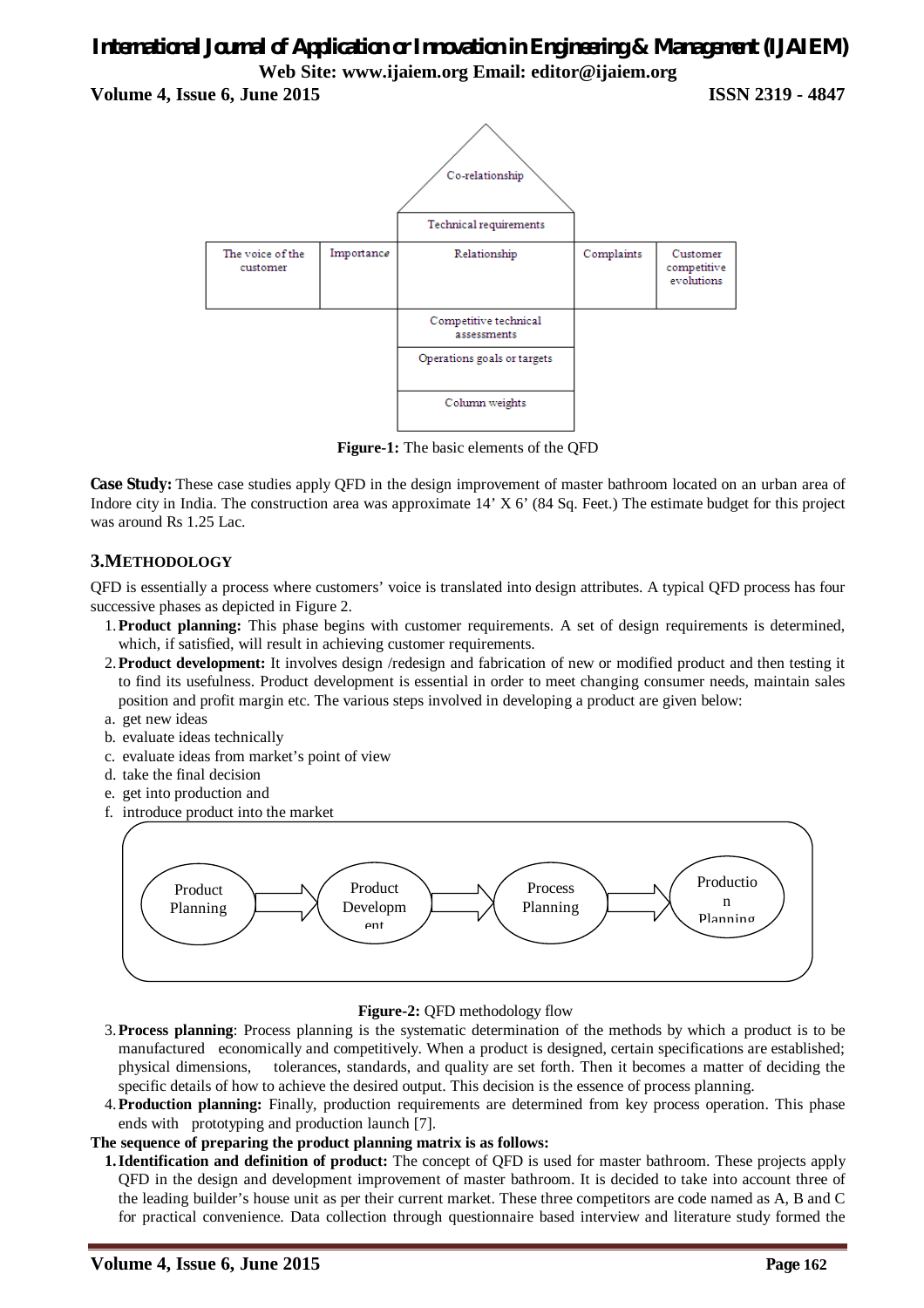**Volume 4, Issue 6, June 2015 ISSN 2319 - 4847**



**Figure-1:** The basic elements of the QFD

**Case Study:** These case studies apply QFD in the design improvement of master bathroom located on an urban area of Indore city in India. The construction area was approximate 14' X 6' (84 Sq. Feet.) The estimate budget for this project was around Rs 1.25 Lac.

## **3.METHODOLOGY**

QFD is essentially a process where customers' voice is translated into design attributes. A typical QFD process has four successive phases as depicted in Figure 2.

- 1.**Product planning:** This phase begins with customer requirements. A set of design requirements is determined, which, if satisfied, will result in achieving customer requirements.
- 2.**Product development:** It involves design /redesign and fabrication of new or modified product and then testing it to find its usefulness. Product development is essential in order to meet changing consumer needs, maintain sales position and profit margin etc. The various steps involved in developing a product are given below:
- a. get new ideas
- b. evaluate ideas technically
- c. evaluate ideas from market's point of view
- d. take the final decision
- e. get into production and
- f. introduce product into the market



#### **Figure-2:** QFD methodology flow

- 3.**Process planning**: Process planning is the systematic determination of the methods by which a product is to be manufactured economically and competitively. When a product is designed, certain specifications are established; physical dimensions, tolerances, standards, and quality are set forth. Then it becomes a matter of deciding the specific details of how to achieve the desired output. This decision is the essence of process planning.
- 4.**Production planning:** Finally, production requirements are determined from key process operation. This phase ends with prototyping and production launch [7].

#### **The sequence of preparing the product planning matrix is as follows:**

**1.Identification and definition of product:** The concept of QFD is used for master bathroom. These projects apply QFD in the design and development improvement of master bathroom. It is decided to take into account three of the leading builder's house unit as per their current market. These three competitors are code named as A, B and C for practical convenience. Data collection through questionnaire based interview and literature study formed the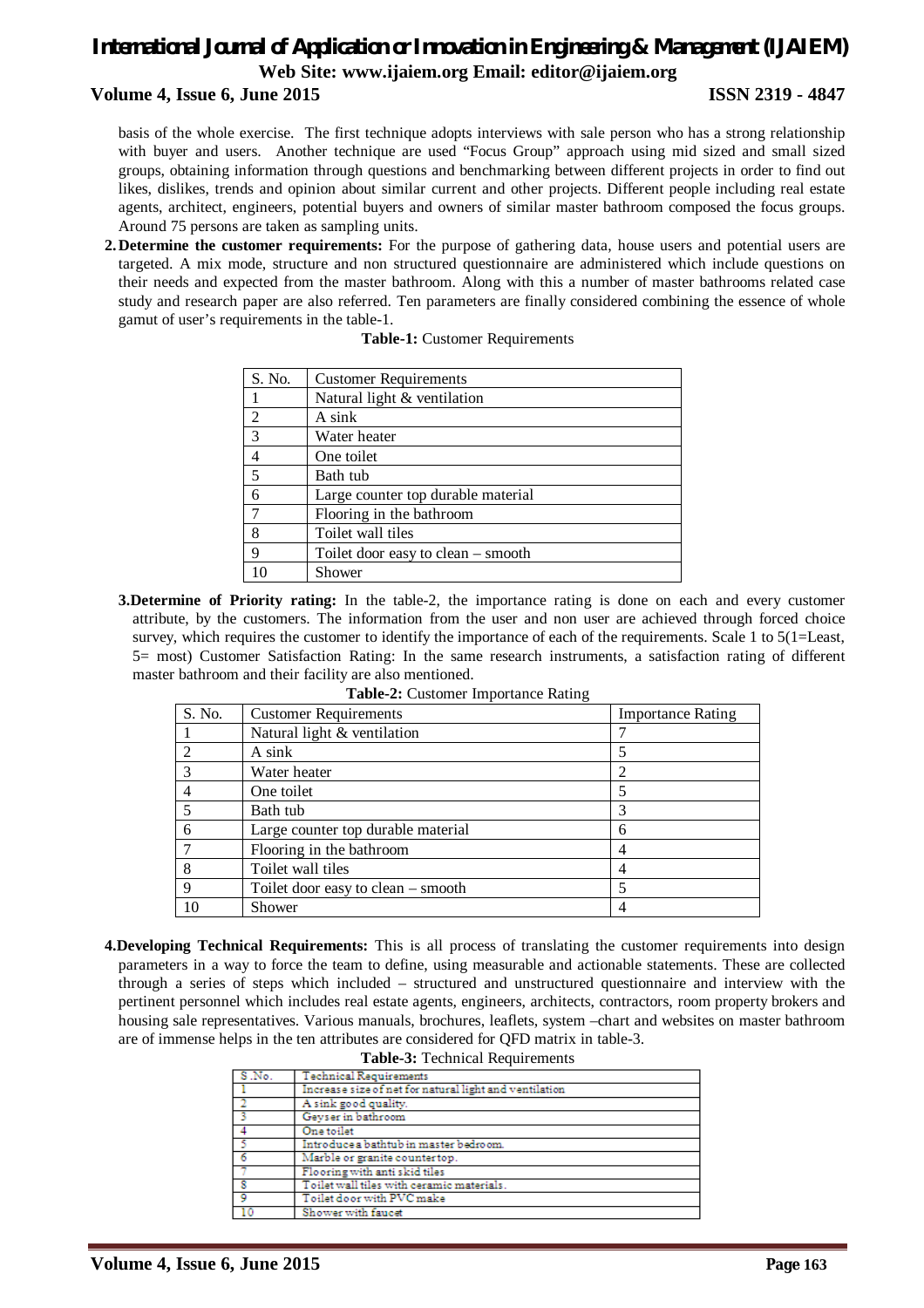#### **Volume 4, Issue 6, June 2015 ISSN 2319 - 4847**

basis of the whole exercise. The first technique adopts interviews with sale person who has a strong relationship with buyer and users. Another technique are used "Focus Group" approach using mid sized and small sized groups, obtaining information through questions and benchmarking between different projects in order to find out likes, dislikes, trends and opinion about similar current and other projects. Different people including real estate agents, architect, engineers, potential buyers and owners of similar master bathroom composed the focus groups. Around 75 persons are taken as sampling units.

**2.Determine the customer requirements:** For the purpose of gathering data, house users and potential users are targeted. A mix mode, structure and non structured questionnaire are administered which include questions on their needs and expected from the master bathroom. Along with this a number of master bathrooms related case study and research paper are also referred. Ten parameters are finally considered combining the essence of whole gamut of user's requirements in the table-1.

| S. No.         | <b>Customer Requirements</b>       |
|----------------|------------------------------------|
|                | Natural light & ventilation        |
| $\mathfrak{D}$ | A sink                             |
| 3              | Water heater                       |
| 4              | One toilet                         |
| 5              | Bath tub                           |
| 6              | Large counter top durable material |
| 7              | Flooring in the bathroom           |
| 8              | Toilet wall tiles                  |
| $\mathbf Q$    | Toilet door easy to clean – smooth |
|                | Shower                             |

#### **Table-1:** Customer Requirements

**3.Determine of Priority rating:** In the table-2, the importance rating is done on each and every customer attribute, by the customers. The information from the user and non user are achieved through forced choice survey, which requires the customer to identify the importance of each of the requirements. Scale 1 to 5(1=Least, 5= most) Customer Satisfaction Rating: In the same research instruments, a satisfaction rating of different master bathroom and their facility are also mentioned.

| S. No.         | <b>Customer Requirements</b>       | <b>Importance Rating</b> |
|----------------|------------------------------------|--------------------------|
|                | Natural light & ventilation        |                          |
| $\overline{2}$ | A sink                             | 5                        |
| 3              | Water heater                       | 2                        |
| 4              | One toilet                         | 5                        |
| 5              | Bath tub                           | 3                        |
| 6              | Large counter top durable material | 6                        |
|                | Flooring in the bathroom           | 4                        |
| 8              | Toilet wall tiles                  | 4                        |
| 9              | Toilet door easy to clean – smooth | 5                        |
| 10             | Shower                             | 4                        |

| Table-2: Customer Importance Rating |
|-------------------------------------|
|-------------------------------------|

**4.Developing Technical Requirements:** This is all process of translating the customer requirements into design parameters in a way to force the team to define, using measurable and actionable statements. These are collected through a series of steps which included – structured and unstructured questionnaire and interview with the pertinent personnel which includes real estate agents, engineers, architects, contractors, room property brokers and housing sale representatives. Various manuals, brochures, leaflets, system –chart and websites on master bathroom are of immense helps in the ten attributes are considered for QFD matrix in table-3. **Table-3:** Technical Requirements

| S .No. | <b>Technical Requirements</b>                          |
|--------|--------------------------------------------------------|
|        | Increase size of net for natural light and ventilation |
|        | A sink good quality.                                   |
|        | Gevser in bathroom                                     |
|        | One toilet                                             |
|        | Introduce a bathtub in master bedroom.                 |
| 6      | Marble or granite countertop.                          |
|        | Flooring with anti skid tiles                          |
|        | To ilet wall tiles with ceramic materials.             |
| 9      | Toilet door with PVC make                              |
| 10     | Shower with faucet                                     |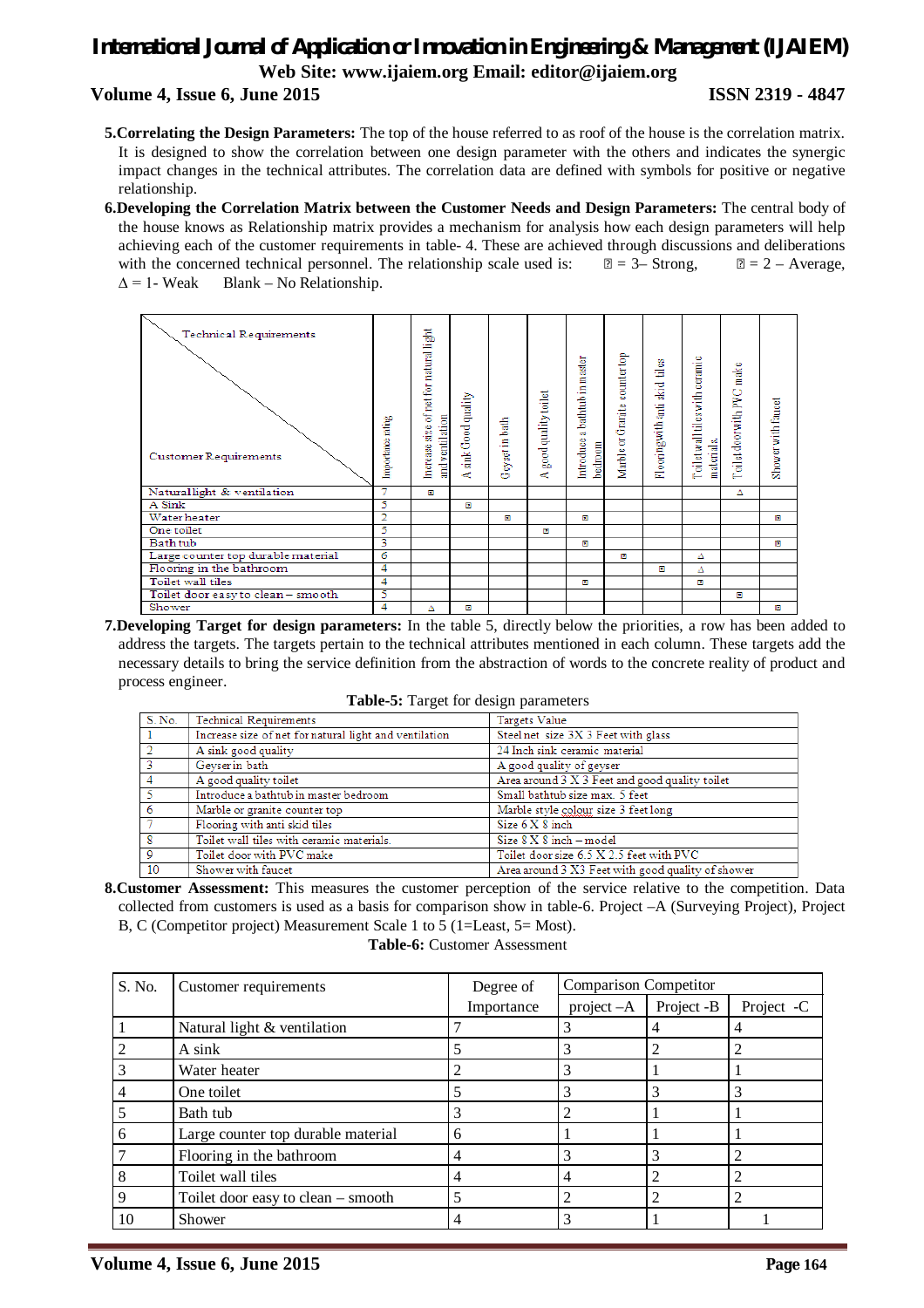#### **Volume 4, Issue 6, June 2015 ISSN 2319 - 4847**

- **5.Correlating the Design Parameters:** The top of the house referred to as roof of the house is the correlation matrix. It is designed to show the correlation between one design parameter with the others and indicates the synergic impact changes in the technical attributes. The correlation data are defined with symbols for positive or negative relationship.
- **6.Developing the Correlation Matrix between the Customer Needs and Design Parameters:** The central body of the house knows as Relationship matrix provides a mechanism for analysis how each design parameters will help achieving each of the customer requirements in table- 4. These are achieved through discussions and deliberations with the concerned technical personnel. The relationship scale used is:  $\mathbb{B} = 3$ – Strong,  $\mathbb{B} = 2$  – Average,  $\Delta$  = 1- Weak Blank – No Relationship.



**7.Developing Target for design parameters:** In the table 5, directly below the priorities, a row has been added to address the targets. The targets pertain to the technical attributes mentioned in each column. These targets add the necessary details to bring the service definition from the abstraction of words to the concrete reality of product and process engineer.

| Table-5: Target for design parameters |  |  |
|---------------------------------------|--|--|
|---------------------------------------|--|--|

| S. No.         | <b>Technical Requirements</b>                          | Targets Value                                     |
|----------------|--------------------------------------------------------|---------------------------------------------------|
|                | Increase size of net for natural light and ventilation | Steel net size 3X 3 Feet with glass               |
|                | A sink good quality                                    | 24 Inch sink ceramic material                     |
|                | Geyser in bath                                         | A good quality of geyser                          |
|                | A good quality toilet                                  | Area around 3 X 3 Feet and good quality toilet    |
|                | Introduce a bathtub in master bedroom                  | Small bathtub size max. 5 feet                    |
| -6             | Marble or granite counter top                          | Marble style colour size 3 feet long              |
|                | Flooring with anti skid tiles                          | Size 6 X 8 inch                                   |
| -8             | Toilet wall tiles with ceramic materials.              | Size $8 \times 8$ inch $-$ model                  |
| $\overline{Q}$ | Toilet door with PVC make                              | Toilet door size 6.5 X 2.5 feet with PVC          |
| $\vert$ 10     | Shower with faucet                                     | Area around 3 X3 Feet with good quality of shower |

**8.Customer Assessment:** This measures the customer perception of the service relative to the competition. Data collected from customers is used as a basis for comparison show in table-6. Project –A (Surveying Project), Project B, C (Competitor project) Measurement Scale 1 to 5 (1=Least, 5= Most).

**Table-6:** Customer Assessment

| S. No. | Customer requirements              | Degree of  | <b>Comparison Competitor</b> |            |            |  |
|--------|------------------------------------|------------|------------------------------|------------|------------|--|
|        |                                    | Importance | $project -A$                 | Project -B | Project -C |  |
|        | Natural light & ventilation        |            |                              |            |            |  |
|        | A sink                             |            |                              |            |            |  |
|        | Water heater                       |            | 3                            |            |            |  |
|        | One toilet                         |            |                              |            |            |  |
|        | Bath tub                           |            |                              |            |            |  |
| h      | Large counter top durable material | 6          |                              |            |            |  |
|        | Flooring in the bathroom           | 4          |                              |            |            |  |
|        | Toilet wall tiles                  |            | 4                            |            |            |  |
| 9      | Toilet door easy to clean - smooth |            |                              |            |            |  |
| 10     | Shower                             |            |                              |            |            |  |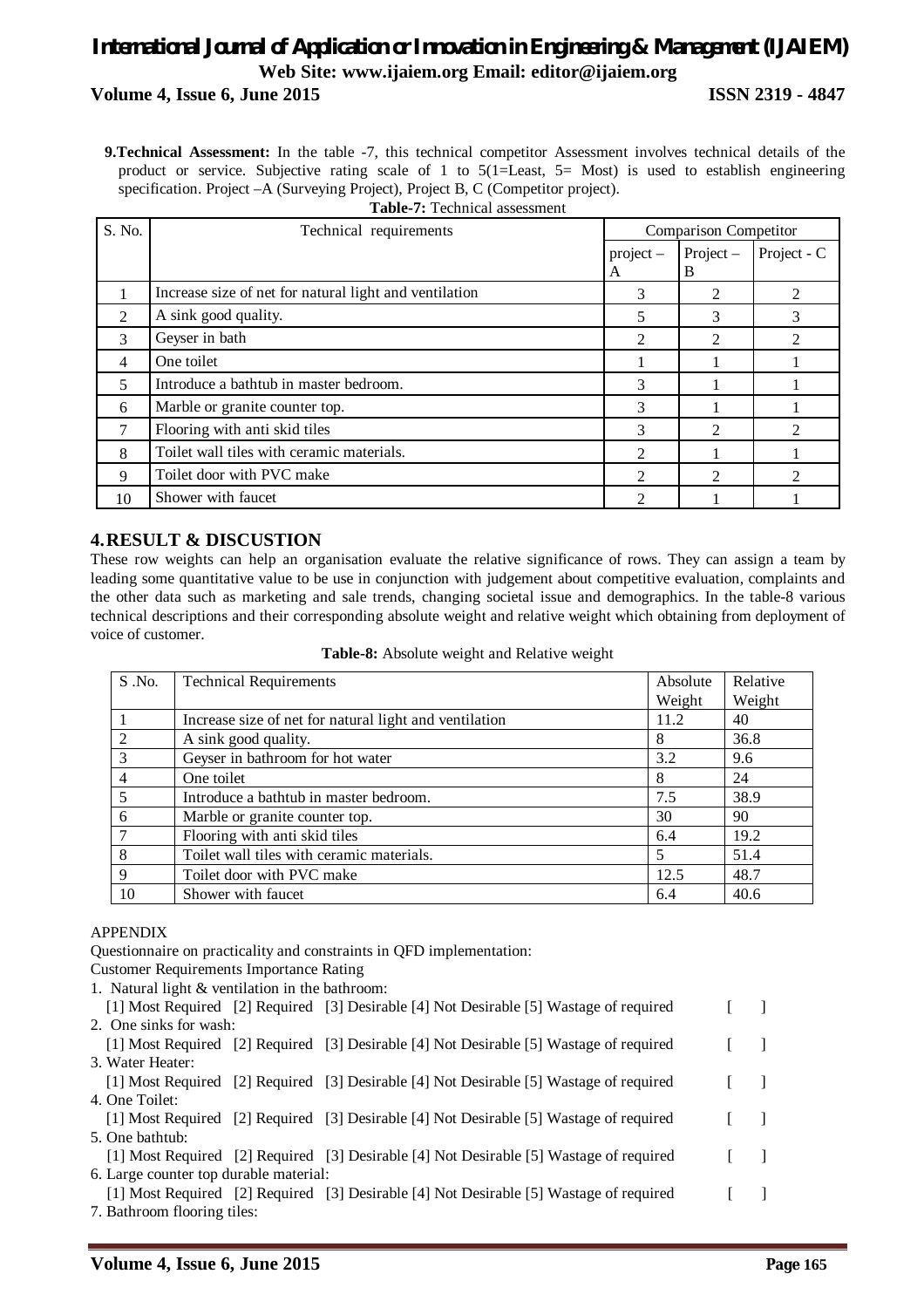### *International Journal of Application or Innovation in Engineering & Management (IJAIEM)* **Web Site: www.ijaiem.org Email: editor@ijaiem.org Volume 4, Issue 6, June 2015 ISSN 2319 - 4847**

**9.Technical Assessment:** In the table -7, this technical competitor Assessment involves technical details of the product or service. Subjective rating scale of 1 to 5(1=Least, 5= Most) is used to establish engineering specification. Project –A (Surveying Project), Project B, C (Competitor project). **Table-7:** Technical assessment

| S. No.       | Technical requirements                                 | <b>Comparison Competitor</b> |                             |                             |  |  |
|--------------|--------------------------------------------------------|------------------------------|-----------------------------|-----------------------------|--|--|
|              |                                                        | $project -$<br>A             | $Project -$<br>B            | Project - C                 |  |  |
|              | Increase size of net for natural light and ventilation | 3                            | 2                           |                             |  |  |
| 2            | A sink good quality.                                   | 5                            | 3                           | 3                           |  |  |
| 3            | Geyser in bath                                         | $\mathfrak{D}$               | っ                           |                             |  |  |
| 4            | One toilet                                             |                              |                             |                             |  |  |
| 5            | Introduce a bathtub in master bedroom.                 | 3                            |                             |                             |  |  |
| 6            | Marble or granite counter top.                         | 3                            |                             |                             |  |  |
|              | Flooring with anti skid tiles                          | 3                            | $\mathfrak{D}$              |                             |  |  |
| $\mathbf{8}$ | Toilet wall tiles with ceramic materials.              | $\mathfrak{D}$               |                             |                             |  |  |
| 9            | Toilet door with PVC make                              | $\mathfrak{D}$               | $\mathcal{D}_{\mathcal{L}}$ | $\mathcal{D}_{\mathcal{L}}$ |  |  |
| 10           | Shower with faucet                                     | ∍                            |                             |                             |  |  |

### **4.RESULT & DISCUSTION**

These row weights can help an organisation evaluate the relative significance of rows. They can assign a team by leading some quantitative value to be use in conjunction with judgement about competitive evaluation, complaints and the other data such as marketing and sale trends, changing societal issue and demographics. In the table-8 various technical descriptions and their corresponding absolute weight and relative weight which obtaining from deployment of voice of customer.

| Table-8: Absolute weight and Relative weight |  |  |  |
|----------------------------------------------|--|--|--|
|----------------------------------------------|--|--|--|

| $S$ . No. | <b>Technical Requirements</b>                          | Absolute | Relative |
|-----------|--------------------------------------------------------|----------|----------|
|           |                                                        | Weight   | Weight   |
|           | Increase size of net for natural light and ventilation | 11.2     | 40       |
|           | A sink good quality.                                   | 8        | 36.8     |
| 3         | Geyser in bathroom for hot water                       | 3.2      | 9.6      |
| 4         | One toilet                                             | 8        | 24       |
| 5         | Introduce a bathtub in master bedroom.                 | 7.5      | 38.9     |
| 6         | Marble or granite counter top.                         | 30       | 90       |
|           | Flooring with anti skid tiles                          | 6.4      | 19.2     |
| 8         | Toilet wall tiles with ceramic materials.              | 5        | 51.4     |
| 9         | Toilet door with PVC make                              | 12.5     | 48.7     |
| 10        | Shower with faucet                                     | 6.4      | 40.6     |

#### APPENDIX

Questionnaire on practicality and constraints in QFD implementation:

Customer Requirements Importance Rating

1. Natural light & ventilation in the bathroom:

| [1] Most Required [2] Required [3] Desirable [4] Not Desirable [5] Wastage of required |  |  |
|----------------------------------------------------------------------------------------|--|--|
| 2. One sinks for wash:                                                                 |  |  |
| [1] Most Required [2] Required [3] Desirable [4] Not Desirable [5] Wastage of required |  |  |
| 3. Water Heater:                                                                       |  |  |
| [1] Most Required [2] Required [3] Desirable [4] Not Desirable [5] Wastage of required |  |  |
| 4. One Toilet:                                                                         |  |  |
| [1] Most Required [2] Required [3] Desirable [4] Not Desirable [5] Wastage of required |  |  |
| 5. One bathtub:                                                                        |  |  |
| [1] Most Required [2] Required [3] Desirable [4] Not Desirable [5] Wastage of required |  |  |
| 6. Large counter top durable material:                                                 |  |  |
| [1] Most Required [2] Required [3] Desirable [4] Not Desirable [5] Wastage of required |  |  |

7. Bathroom flooring tiles: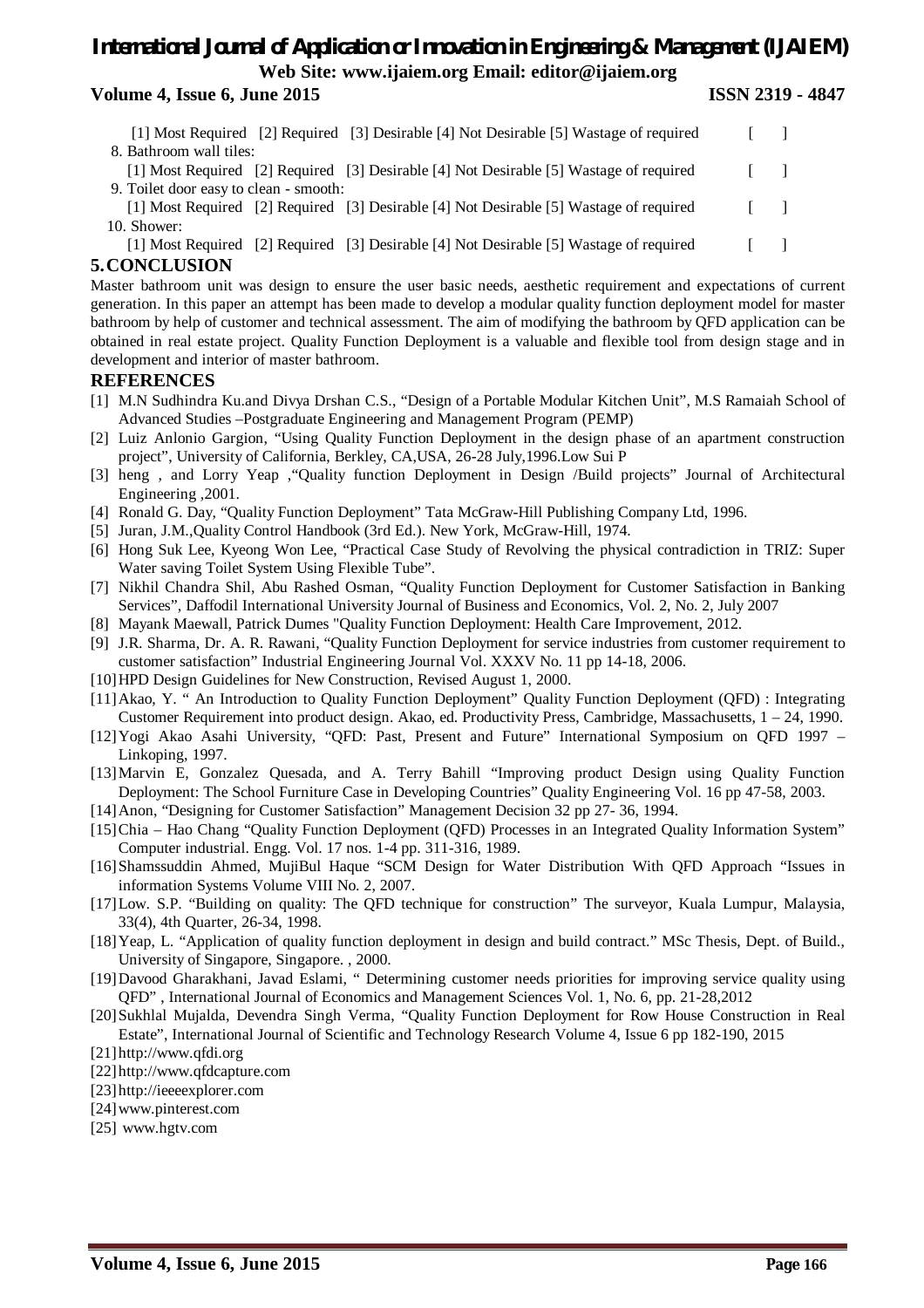#### **Volume 4, Issue 6, June 2015 ISSN 2319 - 4847**

- [1] Most Required [2] Required [3] Desirable [4] Not Desirable [5] Wastage of required [ ] 8. Bathroom wall tiles: [1] Most Required [2] Required [3] Desirable [4] Not Desirable [5] Wastage of required [ ] 9. Toilet door easy to clean - smooth:
- [1] Most Required [2] Required [3] Desirable [4] Not Desirable [5] Wastage of required [ ] 10. Shower:
- [1] Most Required [2] Required [3] Desirable [4] Not Desirable [5] Wastage of required [ ]

#### **5.CONCLUSION**

Master bathroom unit was design to ensure the user basic needs, aesthetic requirement and expectations of current generation. In this paper an attempt has been made to develop a modular quality function deployment model for master bathroom by help of customer and technical assessment. The aim of modifying the bathroom by QFD application can be obtained in real estate project. Quality Function Deployment is a valuable and flexible tool from design stage and in development and interior of master bathroom.

#### **REFERENCES**

- [1] M.N Sudhindra Ku.and Divya Drshan C.S., "Design of a Portable Modular Kitchen Unit", M.S Ramaiah School of Advanced Studies –Postgraduate Engineering and Management Program (PEMP)
- [2] Luiz Anlonio Gargion, "Using Quality Function Deployment in the design phase of an apartment construction project", University of California, Berkley, CA,USA, 26-28 July,1996.Low Sui P
- [3] heng , and Lorry Yeap ,"Quality function Deployment in Design /Build projects" Journal of Architectural Engineering ,2001.
- [4] Ronald G. Day, "Quality Function Deployment" Tata McGraw-Hill Publishing Company Ltd, 1996.
- [5] Juran, J.M.,Quality Control Handbook (3rd Ed.). New York, McGraw-Hill, 1974.
- [6] Hong Suk Lee, Kyeong Won Lee, "Practical Case Study of Revolving the physical contradiction in TRIZ: Super Water saving Toilet System Using Flexible Tube".
- [7] Nikhil Chandra Shil, Abu Rashed Osman, "Quality Function Deployment for Customer Satisfaction in Banking Services", Daffodil International University Journal of Business and Economics, Vol. 2, No. 2, July 2007
- [8] Mayank Maewall, Patrick Dumes "Quality Function Deployment: Health Care Improvement, 2012.
- [9] J.R. Sharma, Dr. A. R. Rawani, "Quality Function Deployment for service industries from customer requirement to customer satisfaction" Industrial Engineering Journal Vol. XXXV No. 11 pp 14-18, 2006.
- [10]HPD Design Guidelines for New Construction, Revised August 1, 2000.
- [11]Akao, Y. " An Introduction to Quality Function Deployment" Quality Function Deployment (QFD) : Integrating Customer Requirement into product design. Akao, ed. Productivity Press, Cambridge, Massachusetts, 1 – 24, 1990.
- [12]Yogi Akao Asahi University, "QFD: Past, Present and Future" International Symposium on QFD 1997 Linkoping, 1997.
- [13]Marvin E, Gonzalez Quesada, and A. Terry Bahill "Improving product Design using Quality Function Deployment: The School Furniture Case in Developing Countries" Quality Engineering Vol. 16 pp 47-58, 2003.
- [14]Anon, "Designing for Customer Satisfaction" Management Decision 32 pp 27- 36, 1994.
- [15]Chia Hao Chang "Quality Function Deployment (QFD) Processes in an Integrated Quality Information System" Computer industrial. Engg. Vol. 17 nos. 1-4 pp. 311-316, 1989.
- [16]Shamssuddin Ahmed, MujiBul Haque "SCM Design for Water Distribution With QFD Approach "Issues in information Systems Volume VIII No. 2, 2007.
- [17]Low. S.P. "Building on quality: The QFD technique for construction" The surveyor, Kuala Lumpur, Malaysia, 33(4), 4th Quarter, 26-34, 1998.
- [18]Yeap, L. "Application of quality function deployment in design and build contract." MSc Thesis, Dept. of Build., University of Singapore, Singapore. , 2000.
- [19]Davood Gharakhani, Javad Eslami, " Determining customer needs priorities for improving service quality using QFD" , International Journal of Economics and Management Sciences Vol. 1, No. 6, pp. 21-28,2012
- [20]Sukhlal Mujalda, Devendra Singh Verma, "Quality Function Deployment for Row House Construction in Real Estate", International Journal of Scientific and Technology Research Volume 4, Issue 6 pp 182-190, 2015
- [21]http://www.qfdi.org
- [22]http://www.qfdcapture.com
- [23]http://ieeeexplorer.com
- [24]www.pinterest.com
- [25] www.hgtv.com